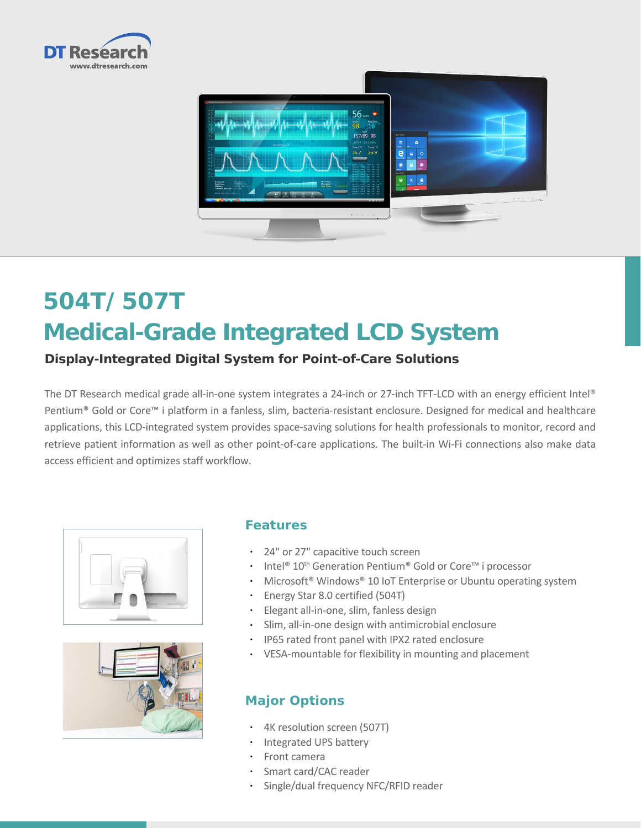



# **504T/ 507T Medical-Grade Integrated LCD System**

## **Display-Integrated Digital System for Point-of-Care Solutions**

The DT Research medical grade all-in-one system integrates a 24-inch or 27-inch TFT-LCD with an energy efficient Intel® Pentium® Gold or Core™ i platform in a fanless, slim, bacteria-resistant enclosure. Designed for medical and healthcare applications, this LCD-integrated system provides space-saving solutions for health professionals to monitor, record and retrieve patient information as well as other point-of-care applications. The built-in Wi-Fi connections also make data access efficient and optimizes staff workflow.





#### **Features**

- • 24" or 27" capacitive touch screen
- Intel<sup>®</sup> 10<sup>th</sup> Generation Pentium<sup>®</sup> Gold or Core<sup>™</sup> i processor
- Microsoft® Windows® 10 IoT Enterprise or Ubuntu operating system
- • Energy Star 8.0 certified (504T)
- • Elegant all-in-one, slim, fanless design
- • Slim, all-in-one design with antimicrobial enclosure
- • IP65 rated front panel with IPX2 rated enclosure
- • VESA-mountable for flexibility in mounting and placement

### **Major Options**

- • 4K resolution screen (507T)
- Integrated UPS battery
- • Front camera
- • Smart card/CAC reader
- • Single/dual frequency NFC/RFID reader